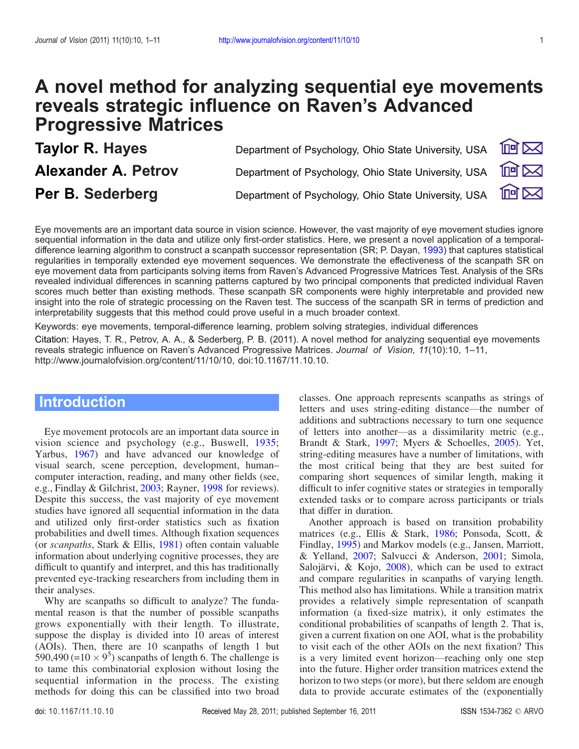| <b>Taylor R. Hayes</b>     | Department of Psychology, Ohio State University, USA 10 X |  |
|----------------------------|-----------------------------------------------------------|--|
| <b>Alexander A. Petrov</b> | Department of Psychology, Ohio State University, USA 10 X |  |
| Per B. Sederberg           | Department of Psychology, Ohio State University, USA 10 X |  |

Eye movements are an important data source in vision science. However, the vast majority of eye movement studies ignore sequential information in the data and utilize only first-order statistics. Here, we present a novel application of a temporaldifference learning algorithm to construct a scanpath successor representation (SR; P. Dayan, [1993](#page-9-0)) that captures statistical regularities in temporally extended eye movement sequences. We demonstrate the effectiveness of the scanpath SR on eye movement data from participants solving items from Raven's Advanced Progressive Matrices Test. Analysis of the SRs revealed individual differences in scanning patterns captured by two principal components that predicted individual Raven scores much better than existing methods. These scanpath SR components were highly interpretable and provided new insight into the role of strategic processing on the Raven test. The success of the scanpath SR in terms of prediction and interpretability suggests that this method could prove useful in a much broader context.

Keywords: eye movements, temporal-difference learning, problem solving strategies, individual differences

Citation: Hayes, T. R., Petrov, A. A., & Sederberg, P. B. (2011). A novel method for analyzing sequential eye movements reveals strategic influence on Raven's Advanced Progressive Matrices. Journal of Vision, 11(10):10, 1–11, http://www.journalofvision.org/content/11/10/10, doi:10.1167/11.10.10.

## Introduction

Eye movement protocols are an important data source in vision science and psychology (e.g., Buswell, [1935](#page-9-0); Yarbus, [1967](#page-10-0)) and have advanced our knowledge of visual search, scene perception, development, human– computer interaction, reading, and many other fields (see, e.g., Findlay & Gilchrist, [2003](#page-9-0); Rayner, [1998](#page-10-0) for reviews). Despite this success, the vast majority of eye movement studies have ignored all sequential information in the data and utilized only first-order statistics such as fixation probabilities and dwell times. Although fixation sequences (or scanpaths, Stark & Ellis, [1981](#page-10-0)) often contain valuable information about underlying cognitive processes, they are difficult to quantify and interpret, and this has traditionally prevented eye-tracking researchers from including them in their analyses.

Why are scanpaths so difficult to analyze? The fundamental reason is that the number of possible scanpaths grows exponentially with their length. To illustrate, suppose the display is divided into 10 areas of interest (AOIs). Then, there are 10 scanpaths of length 1 but 590,490 (= $10 \times 9^5$ ) scanpaths of length 6. The challenge is to tame this combinatorial explosion without losing the sequential information in the process. The existing methods for doing this can be classified into two broad

classes. One approach represents scanpaths as strings of letters and uses string-editing distance—the number of additions and subtractions necessary to turn one sequence of letters into another—as a dissimilarity metric (e.g., Brandt & Stark, [1997](#page-9-0); Myers & Schoelles, [2005\)](#page-9-0). Yet, string-editing measures have a number of limitations, with the most critical being that they are best suited for comparing short sequences of similar length, making it difficult to infer cognitive states or strategies in temporally extended tasks or to compare across participants or trials that differ in duration.

Another approach is based on transition probability matrices (e.g., Ellis & Stark, [1986](#page-9-0); Ponsoda, Scott, & Findlay, [1995\)](#page-10-0) and Markov models (e.g., Jansen, Marriott, & Yelland, [2007](#page-9-0); Salvucci & Anderson, [2001;](#page-10-0) Simola, Salojärvi,  $\&$  Kojo,  $2008$ ), which can be used to extract and compare regularities in scanpaths of varying length. This method also has limitations. While a transition matrix provides a relatively simple representation of scanpath information (a fixed-size matrix), it only estimates the conditional probabilities of scanpaths of length 2. That is, given a current fixation on one AOI, what is the probability to visit each of the other AOIs on the next fixation? This is a very limited event horizon—reaching only one step into the future. Higher order transition matrices extend the horizon to two steps (or more), but there seldom are enough data to provide accurate estimates of the (exponentially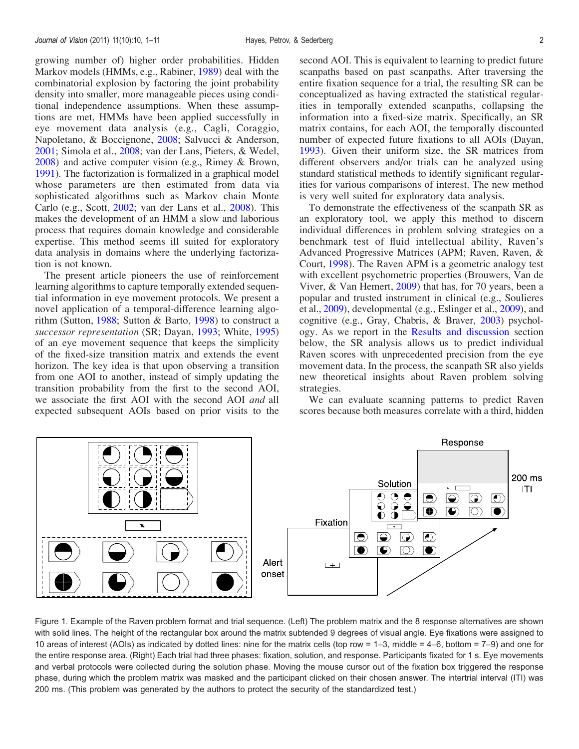<span id="page-1-0"></span>growing number of) higher order probabilities. Hidden Markov models (HMMs, e.g., Rabiner, [1989](#page-10-0)) deal with the combinatorial explosion by factoring the joint probability density into smaller, more manageable pieces using conditional independence assumptions. When these assumptions are met, HMMs have been applied successfully in eye movement data analysis (e.g., Cagli, Coraggio, Napoletano, & Boccignone, [2008](#page-9-0); Salvucci & Anderson, [2001;](#page-10-0) Simola et al., [2008](#page-10-0); van der Lans, Pieters, & Wedel, [2008\)](#page-10-0) and active computer vision (e.g., Rimey & Brown, [1991\)](#page-10-0). The factorization is formalized in a graphical model whose parameters are then estimated from data via sophisticated algorithms such as Markov chain Monte Carlo (e.g., Scott, [2002;](#page-10-0) van der Lans et al., [2008](#page-10-0)). This makes the development of an HMM a slow and laborious process that requires domain knowledge and considerable expertise. This method seems ill suited for exploratory data analysis in domains where the underlying factorization is not known.

The present article pioneers the use of reinforcement learning algorithms to capture temporally extended sequential information in eye movement protocols. We present a novel application of a temporal-difference learning algorithm (Sutton, [1988;](#page-10-0) Sutton & Barto, [1998](#page-10-0)) to construct a successor representation (SR; Dayan, [1993](#page-9-0); White, [1995\)](#page-10-0) of an eye movement sequence that keeps the simplicity of the fixed-size transition matrix and extends the event horizon. The key idea is that upon observing a transition from one AOI to another, instead of simply updating the transition probability from the first to the second AOI, we associate the first AOI with the second AOI and all expected subsequent AOIs based on prior visits to the

second AOI. This is equivalent to learning to predict future scanpaths based on past scanpaths. After traversing the entire fixation sequence for a trial, the resulting SR can be conceptualized as having extracted the statistical regularities in temporally extended scanpaths, collapsing the information into a fixed-size matrix. Specifically, an SR matrix contains, for each AOI, the temporally discounted number of expected future fixations to all AOIs (Dayan, [1993\)](#page-9-0). Given their uniform size, the SR matrices from different observers and/or trials can be analyzed using standard statistical methods to identify significant regularities for various comparisons of interest. The new method is very well suited for exploratory data analysis.

To demonstrate the effectiveness of the scanpath SR as an exploratory tool, we apply this method to discern individual differences in problem solving strategies on a benchmark test of fluid intellectual ability, Raven's Advanced Progressive Matrices (APM; Raven, Raven, & Court, [1998\)](#page-10-0). The Raven APM is a geometric analogy test with excellent psychometric properties (Brouwers, Van de Viver, & Van Hemert, [2009\)](#page-9-0) that has, for 70 years, been a popular and trusted instrument in clinical (e.g., Soulieres et al., [2009\)](#page-10-0), developmental (e.g., Eslinger et al., [2009](#page-9-0)), and cognitive (e.g., Gray, Chabris, & Braver, [2003\)](#page-9-0) psychology. As we report in the [Results and discussion](#page-3-0) section below, the SR analysis allows us to predict individual Raven scores with unprecedented precision from the eye movement data. In the process, the scanpath SR also yields new theoretical insights about Raven problem solving strategies.

We can evaluate scanning patterns to predict Raven scores because both measures correlate with a third, hidden



Figure 1. Example of the Raven problem format and trial sequence. (Left) The problem matrix and the 8 response alternatives are shown with solid lines. The height of the rectangular box around the matrix subtended 9 degrees of visual angle. Eye fixations were assigned to 10 areas of interest (AOIs) as indicated by dotted lines: nine for the matrix cells (top row = 1–3, middle = 4–6, bottom = 7–9) and one for the entire response area. (Right) Each trial had three phases: fixation, solution, and response. Participants fixated for 1 s. Eye movements and verbal protocols were collected during the solution phase. Moving the mouse cursor out of the fixation box triggered the response phase, during which the problem matrix was masked and the participant clicked on their chosen answer. The intertrial interval (ITI) was 200 ms. (This problem was generated by the authors to protect the security of the standardized test.)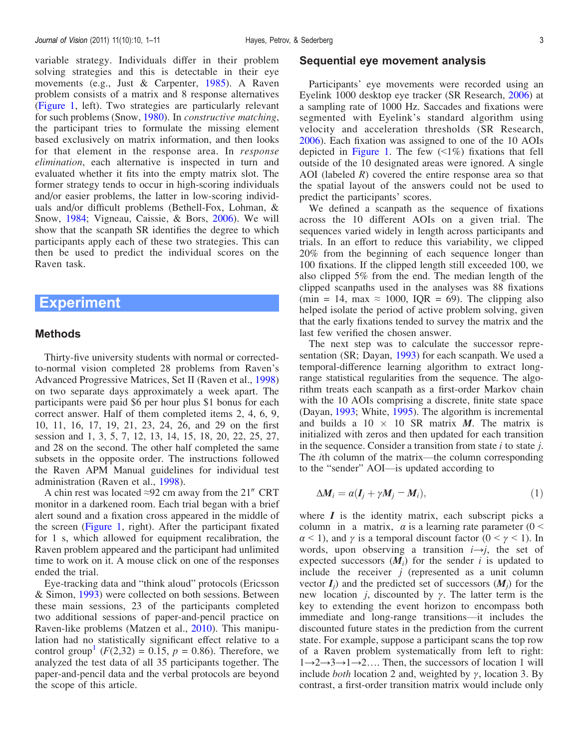<span id="page-2-0"></span>variable strategy. Individuals differ in their problem solving strategies and this is detectable in their eye movements (e.g., Just & Carpenter, [1985\)](#page-9-0). A Raven problem consists of a matrix and 8 response alternatives ([Figure 1](#page-1-0), left). Two strategies are particularly relevant for such problems (Snow, [1980](#page-10-0)). In *constructive matching*, the participant tries to formulate the missing element based exclusively on matrix information, and then looks for that element in the response area. In response elimination, each alternative is inspected in turn and evaluated whether it fits into the empty matrix slot. The former strategy tends to occur in high-scoring individuals and/or easier problems, the latter in low-scoring individuals and/or difficult problems (Bethell-Fox, Lohman, & Snow, [1984](#page-9-0); Vigneau, Caissie, & Bors, [2006\)](#page-10-0). We will show that the scanpath SR identifies the degree to which participants apply each of these two strategies. This can then be used to predict the individual scores on the Raven task.

# Experiment

### Methods

Thirty-five university students with normal or correctedto-normal vision completed 28 problems from Raven's Advanced Progressive Matrices, Set II (Raven et al., [1998\)](#page-10-0) on two separate days approximately a week apart. The participants were paid \$6 per hour plus \$1 bonus for each correct answer. Half of them completed items 2, 4, 6, 9, 10, 11, 16, 17, 19, 21, 23, 24, 26, and 29 on the first session and 1, 3, 5, 7, 12, 13, 14, 15, 18, 20, 22, 25, 27, and 28 on the second. The other half completed the same subsets in the opposite order. The instructions followed the Raven APM Manual guidelines for individual test administration (Raven et al., [1998\)](#page-10-0).

A chin rest was located ,92 cm away from the 21*W* CRT monitor in a darkened room. Each trial began with a brief alert sound and a fixation cross appeared in the middle of the screen [\(Figure 1,](#page-1-0) right). After the participant fixated for 1 s, which allowed for equipment recalibration, the Raven problem appeared and the participant had unlimited time to work on it. A mouse click on one of the responses ended the trial.

Eye-tracking data and "think aloud" protocols (Ericsson & Simon, [1993\)](#page-9-0) were collected on both sessions. Between these main sessions, 23 of the participants completed two additional sessions of paper-and-pencil practice on Raven-like problems (Matzen et al., [2010](#page-9-0)). This manipulation had no statistically significant effect relative to a control group<sup>[1](#page-8-0)</sup> ( $F(2,32) = 0.15$ ,  $p = 0.86$ ). Therefore, we analyzed the test data of all 35 participants together. The paper-and-pencil data and the verbal protocols are beyond the scope of this article.

#### Sequential eye movement analysis

Participants' eye movements were recorded using an Eyelink 1000 desktop eye tracker (SR Research, [2006\)](#page-10-0) at a sampling rate of 1000 Hz. Saccades and fixations were segmented with Eyelink's standard algorithm using velocity and acceleration thresholds (SR Research, [2006\)](#page-10-0). Each fixation was assigned to one of the 10 AOIs depicted in [Figure 1.](#page-1-0) The few  $(1\%)$  fixations that fell outside of the 10 designated areas were ignored. A single AOI (labeled  $R$ ) covered the entire response area so that the spatial layout of the answers could not be used to predict the participants' scores.

We defined a scanpath as the sequence of fixations across the 10 different AOIs on a given trial. The sequences varied widely in length across participants and trials. In an effort to reduce this variability, we clipped 20% from the beginning of each sequence longer than 100 fixations. If the clipped length still exceeded 100, we also clipped 5% from the end. The median length of the clipped scanpaths used in the analyses was 88 fixations (min = 14, max  $\approx$  1000, IQR = 69). The clipping also helped isolate the period of active problem solving, given that the early fixations tended to survey the matrix and the last few verified the chosen answer.

The next step was to calculate the successor representation (SR; Dayan, [1993](#page-9-0)) for each scanpath. We used a temporal-difference learning algorithm to extract longrange statistical regularities from the sequence. The algorithm treats each scanpath as a first-order Markov chain with the 10 AOIs comprising a discrete, finite state space (Dayan, [1993](#page-9-0); White, [1995\)](#page-10-0). The algorithm is incremental and builds a  $10 \times 10$  SR matrix M. The matrix is initialized with zeros and then updated for each transition in the sequence. Consider a transition from state  $i$  to state  $j$ . The *i*th column of the matrix—the column corresponding to the "sender" AOI—is updated according to

$$
\Delta M_i = \alpha (I_j + \gamma M_j - M_i), \qquad (1)
$$

where  $I$  is the identity matrix, each subscript picks a column in a matrix,  $\alpha$  is a learning rate parameter (0  $\le$  $\alpha$  < 1), and  $\gamma$  is a temporal discount factor (0 <  $\gamma$  < 1). In words, upon observing a transition  $i \rightarrow j$ , the set of expected successors  $(M_i)$  for the sender i is updated to include the receiver  $j$  (represented as a unit column vector  $I_i$ ) and the predicted set of successors  $(M_i)$  for the new location *j*, discounted by  $\gamma$ . The latter term is the key to extending the event horizon to encompass both immediate and long-range transitions—it includes the discounted future states in the prediction from the current state. For example, suppose a participant scans the top row of a Raven problem systematically from left to right:  $1\rightarrow 2\rightarrow 3\rightarrow 1\rightarrow 2\ldots$  Then, the successors of location 1 will include *both* location 2 and, weighted by  $\gamma$ , location 3. By contrast, a first-order transition matrix would include only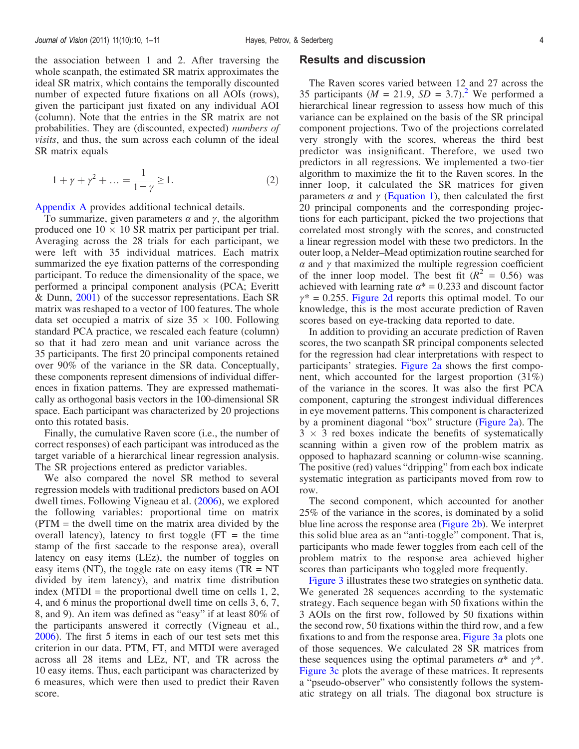<span id="page-3-0"></span>the association between 1 and 2. After traversing the whole scanpath, the estimated SR matrix approximates the ideal SR matrix, which contains the temporally discounted number of expected future fixations on all AOIs (rows), given the participant just fixated on any individual AOI (column). Note that the entries in the SR matrix are not probabilities. They are (discounted, expected) numbers of visits, and thus, the sum across each column of the ideal SR matrix equals

$$
1 + \gamma + \gamma^2 + \dots = \frac{1}{1 - \gamma} \ge 1.
$$
 (2)

[Appendix A](#page-8-0) provides additional technical details.

To summarize, given parameters  $\alpha$  and  $\gamma$ , the algorithm produced one  $10 \times 10$  SR matrix per participant per trial. Averaging across the 28 trials for each participant, we were left with 35 individual matrices. Each matrix summarized the eye fixation patterns of the corresponding participant. To reduce the dimensionality of the space, we performed a principal component analysis (PCA; Everitt & Dunn, [2001](#page-9-0)) of the successor representations. Each SR matrix was reshaped to a vector of 100 features. The whole data set occupied a matrix of size  $35 \times 100$ . Following standard PCA practice, we rescaled each feature (column) so that it had zero mean and unit variance across the 35 participants. The first 20 principal components retained over 90% of the variance in the SR data. Conceptually, these components represent dimensions of individual differences in fixation patterns. They are expressed mathematically as orthogonal basis vectors in the 100-dimensional SR space. Each participant was characterized by 20 projections onto this rotated basis.

Finally, the cumulative Raven score (i.e., the number of correct responses) of each participant was introduced as the target variable of a hierarchical linear regression analysis. The SR projections entered as predictor variables.

We also compared the novel SR method to several regression models with traditional predictors based on AOI dwell times. Following Vigneau et al. ([2006\)](#page-10-0), we explored the following variables: proportional time on matrix (PTM = the dwell time on the matrix area divided by the overall latency), latency to first toggle  $(FT = the time)$ stamp of the first saccade to the response area), overall latency on easy items (LEz), the number of toggles on easy items (NT), the toggle rate on easy items (TR  $=$  NT divided by item latency), and matrix time distribution index (MTDI = the proportional dwell time on cells  $1, 2$ , 4, and 6 minus the proportional dwell time on cells 3, 6, 7, 8, and 9). An item was defined as "easy" if at least 80% of the participants answered it correctly (Vigneau et al., [2006\)](#page-10-0). The first 5 items in each of our test sets met this criterion in our data. PTM, FT, and MTDI were averaged across all 28 items and LEz, NT, and TR across the 10 easy items. Thus, each participant was characterized by 6 measures, which were then used to predict their Raven score.

### Results and discussion

The Raven scores varied between 12 and 27 across the 35 participants ( $M = 21.9$ ,  $SD = 3.7$ ).<sup>2</sup> We performed a hierarchical linear regression to assess how much of this variance can be explained on the basis of the SR principal component projections. Two of the projections correlated very strongly with the scores, whereas the third best predictor was insignificant. Therefore, we used two predictors in all regressions. We implemented a two-tier algorithm to maximize the fit to the Raven scores. In the inner loop, it calculated the SR matrices for given parameters  $\alpha$  and  $\gamma$  [\(Equation 1](#page-2-0)), then calculated the first 20 principal components and the corresponding projections for each participant, picked the two projections that correlated most strongly with the scores, and constructed a linear regression model with these two predictors. In the outer loop, a Nelder–Mead optimization routine searched for  $\alpha$  and  $\gamma$  that maximized the multiple regression coefficient of the inner loop model. The best fit ( $R^2 = 0.56$ ) was achieved with learning rate  $\alpha^* = 0.233$  and discount factor  $\gamma^* = 0.255$ . [Figure 2d](#page-4-0) reports this optimal model. To our knowledge, this is the most accurate prediction of Raven scores based on eye-tracking data reported to date.

In addition to providing an accurate prediction of Raven scores, the two scanpath SR principal components selected for the regression had clear interpretations with respect to participants' strategies. [Figure 2a](#page-4-0) shows the first component, which accounted for the largest proportion (31%) of the variance in the scores. It was also the first PCA component, capturing the strongest individual differences in eye movement patterns. This component is characterized by a prominent diagonal "box" structure [\(Figure 2a\)](#page-4-0). The  $3 \times 3$  red boxes indicate the benefits of systematically scanning within a given row of the problem matrix as opposed to haphazard scanning or column-wise scanning. The positive (red) values "dripping" from each box indicate systematic integration as participants moved from row to row.

The second component, which accounted for another 25% of the variance in the scores, is dominated by a solid blue line across the response area [\(Figure 2b](#page-4-0)). We interpret this solid blue area as an "anti-toggle" component. That is, participants who made fewer toggles from each cell of the problem matrix to the response area achieved higher scores than participants who toggled more frequently.

[Figure 3](#page-5-0) illustrates these two strategies on synthetic data. We generated 28 sequences according to the systematic strategy. Each sequence began with 50 fixations within the 3 AOIs on the first row, followed by 50 fixations within the second row, 50 fixations within the third row, and a few fixations to and from the response area. [Figure 3a](#page-5-0) plots one of those sequences. We calculated 28 SR matrices from these sequences using the optimal parameters  $\alpha^*$  and  $\gamma^*$ . [Figure 3c](#page-5-0) plots the average of these matrices. It represents a "pseudo-observer" who consistently follows the systematic strategy on all trials. The diagonal box structure is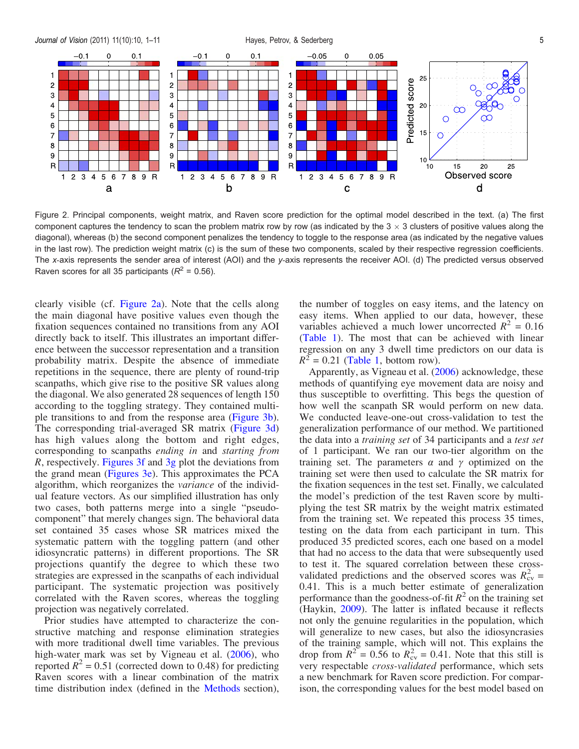<span id="page-4-0"></span>

Figure 2. Principal components, weight matrix, and Raven score prediction for the optimal model described in the text. (a) The first component captures the tendency to scan the problem matrix row by row (as indicated by the  $3 \times 3$  clusters of positive values along the diagonal), whereas (b) the second component penalizes the tendency to toggle to the response area (as indicated by the negative values in the last row). The prediction weight matrix (c) is the sum of these two components, scaled by their respective regression coefficients. The x-axis represents the sender area of interest (AOI) and the y-axis represents the receiver AOI. (d) The predicted versus observed Raven scores for all 35 participants ( $R^2$  = 0.56).

clearly visible (cf. Figure  $2a$ ). Note that the cells along the main diagonal have positive values even though the fixation sequences contained no transitions from any AOI directly back to itself. This illustrates an important difference between the successor representation and a transition probability matrix. Despite the absence of immediate repetitions in the sequence, there are plenty of round-trip scanpaths, which give rise to the positive SR values along the diagonal. We also generated 28 sequences of length 150 according to the toggling strategy. They contained multiple transitions to and from the response area ([Figure 3b\)](#page-5-0). The corresponding trial-averaged SR matrix [\(Figure 3d\)](#page-5-0) has high values along the bottom and right edges, corresponding to scanpaths ending in and starting from R, respectively. [Figures 3f](#page-5-0) and [3g](#page-5-0) plot the deviations from the grand mean ([Figures 3e\)](#page-5-0). This approximates the PCA algorithm, which reorganizes the variance of the individual feature vectors. As our simplified illustration has only two cases, both patterns merge into a single "pseudocomponent" that merely changes sign. The behavioral data set contained 35 cases whose SR matrices mixed the systematic pattern with the toggling pattern (and other idiosyncratic patterns) in different proportions. The SR projections quantify the degree to which these two strategies are expressed in the scanpaths of each individual participant. The systematic projection was positively correlated with the Raven scores, whereas the toggling projection was negatively correlated.

Prior studies have attempted to characterize the constructive matching and response elimination strategies with more traditional dwell time variables. The previous high-water mark was set by Vigneau et al. ([2006](#page-10-0)), who reported  $R^2 = 0.51$  (corrected down to 0.48) for predicting Raven scores with a linear combination of the matrix time distribution index (defined in the [Methods](#page-2-0) section), the number of toggles on easy items, and the latency on easy items. When applied to our data, however, these variables achieved a much lower uncorrected  $R^2 = 0.16$ [\(Table 1\)](#page-6-0). The most that can be achieved with linear regression on any 3 dwell time predictors on our data is  $R^2 = 0.21$  [\(Table 1,](#page-6-0) bottom row).

Apparently, as Vigneau et al. ([2006\)](#page-10-0) acknowledge, these methods of quantifying eye movement data are noisy and thus susceptible to overfitting. This begs the question of how well the scanpath SR would perform on new data. We conducted leave-one-out cross-validation to test the generalization performance of our method. We partitioned the data into a training set of 34 participants and a test set of 1 participant. We ran our two-tier algorithm on the training set. The parameters  $\alpha$  and  $\gamma$  optimized on the training set were then used to calculate the SR matrix for the fixation sequences in the test set. Finally, we calculated the model's prediction of the test Raven score by multiplying the test SR matrix by the weight matrix estimated from the training set. We repeated this process 35 times, testing on the data from each participant in turn. This produced 35 predicted scores, each one based on a model that had no access to the data that were subsequently used to test it. The squared correlation between these crossvalidated predictions and the observed scores was  $R_{\rm cv}^2$  = 0.41. This is a much better estimate of generalization performance than the goodness-of-fit  $R^2$  on the training set (Haykin, [2009](#page-9-0)). The latter is inflated because it reflects not only the genuine regularities in the population, which will generalize to new cases, but also the idiosyncrasies of the training sample, which will not. This explains the drop from  $R^2 = 0.56$  to  $R_{\text{cv}}^2 = 0.41$ . Note that this still is very respectable cross-validated performance, which sets a new benchmark for Raven score prediction. For comparison, the corresponding values for the best model based on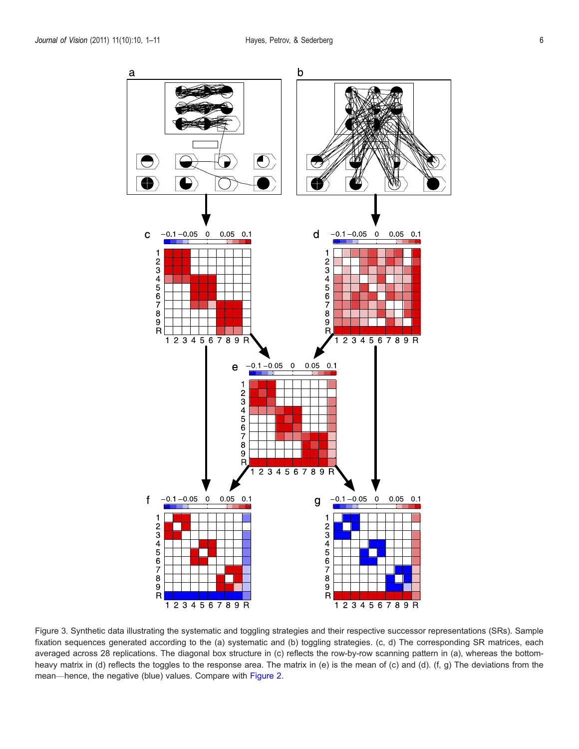<span id="page-5-0"></span>

Figure 3. Synthetic data illustrating the systematic and toggling strategies and their respective successor representations (SRs). Sample fixation sequences generated according to the (a) systematic and (b) toggling strategies. (c, d) The corresponding SR matrices, each averaged across 28 replications. The diagonal box structure in (c) reflects the row-by-row scanning pattern in (a), whereas the bottomheavy matrix in (d) reflects the toggles to the response area. The matrix in (e) is the mean of (c) and (d). (f, g) The deviations from the mean—hence, the negative (blue) values. Compare with [Figure 2.](#page-4-0)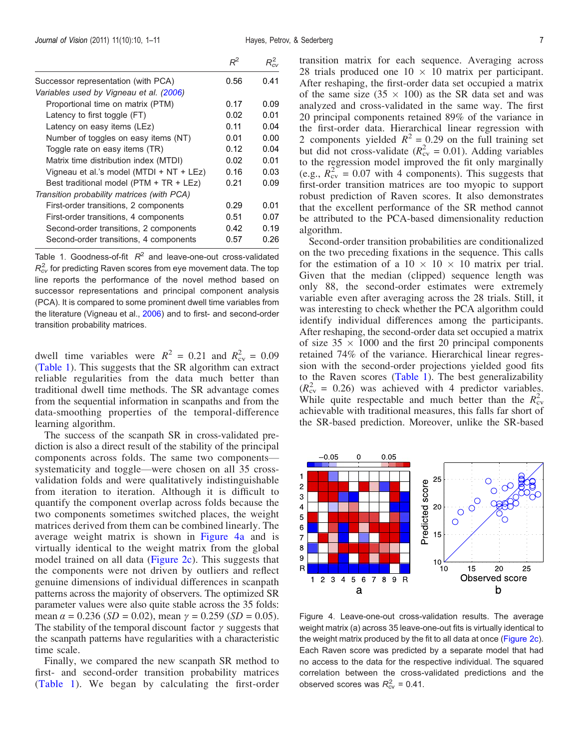<span id="page-6-0"></span>

|                                            | $R^2$ | $R_{c\nu}^2$ |
|--------------------------------------------|-------|--------------|
| Successor representation (with PCA)        | 0.56  | 0.41         |
| Variables used by Vigneau et al. (2006)    |       |              |
| Proportional time on matrix (PTM)          | 0.17  | 0.09         |
| Latency to first toggle (FT)               | 0.02  | 0.01         |
| Latency on easy items (LEz)                | 0.11  | 0.04         |
| Number of toggles on easy items (NT)       | 0.01  | 0.00         |
| Toggle rate on easy items (TR)             | 0.12  | 0.04         |
| Matrix time distribution index (MTDI)      | 0.02  | 0.01         |
| Vigneau et al.'s model (MTDI + NT + LEz)   | 0.16  | 0.03         |
| Best traditional model (PTM + TR + LEz)    | 0.21  | 0.09         |
| Transition probability matrices (with PCA) |       |              |
| First-order transitions, 2 components      | 0.29  | 0.01         |
| First-order transitions, 4 components      | 0.51  | 0.07         |
| Second-order transitions, 2 components     | 0.42  | 0.19         |
| Second-order transitions, 4 components     | 0.57  | 0.26         |

Table 1. Goodness-of-fit  $R^2$  and leave-one-out cross-validated  $R_{c\nu}^2$  for predicting Raven scores from eye movement data. The top line reports the performance of the novel method based on successor representations and principal component analysis (PCA). It is compared to some prominent dwell time variables from the literature (Vigneau et al., [2006\)](#page-10-0) and to first- and second-order transition probability matrices.

dwell time variables were  $R^2 = 0.21$  and  $R_{\text{cv}}^2 = 0.09$ (Table 1). This suggests that the SR algorithm can extract reliable regularities from the data much better than traditional dwell time methods. The SR advantage comes from the sequential information in scanpaths and from the data-smoothing properties of the temporal-difference learning algorithm.

The success of the scanpath SR in cross-validated prediction is also a direct result of the stability of the principal components across folds. The same two componentssystematicity and toggle—were chosen on all 35 crossvalidation folds and were qualitatively indistinguishable from iteration to iteration. Although it is difficult to quantify the component overlap across folds because the two components sometimes switched places, the weight matrices derived from them can be combined linearly. The average weight matrix is shown in Figure 4a and is virtually identical to the weight matrix from the global model trained on all data ([Figure 2c](#page-4-0)). This suggests that the components were not driven by outliers and reflect genuine dimensions of individual differences in scanpath patterns across the majority of observers. The optimized SR parameter values were also quite stable across the 35 folds: mean  $\alpha = 0.236$  (SD = 0.02), mean  $\gamma = 0.259$  (SD = 0.05). The stability of the temporal discount factor  $\gamma$  suggests that the scanpath patterns have regularities with a characteristic time scale.

Finally, we compared the new scanpath SR method to first- and second-order transition probability matrices (Table 1). We began by calculating the first-order transition matrix for each sequence. Averaging across 28 trials produced one  $10 \times 10$  matrix per participant. After reshaping, the first-order data set occupied a matrix of the same size (35  $\times$  100) as the SR data set and was analyzed and cross-validated in the same way. The first 20 principal components retained 89% of the variance in the first-order data. Hierarchical linear regression with 2 components yielded  $R^2 = 0.29$  on the full training set but did not cross-validate ( $R_{\text{cv}}^2 = 0.01$ ). Adding variables to the regression model improved the fit only marginally (e.g.,  $R_{\text{cv}}^2 = 0.07$  with 4 components). This suggests that first-order transition matrices are too myopic to support robust prediction of Raven scores. It also demonstrates that the excellent performance of the SR method cannot be attributed to the PCA-based dimensionality reduction algorithm.

Second-order transition probabilities are conditionalized on the two preceding fixations in the sequence. This calls for the estimation of a  $10 \times 10 \times 10$  matrix per trial. Given that the median (clipped) sequence length was only 88, the second-order estimates were extremely variable even after averaging across the 28 trials. Still, it was interesting to check whether the PCA algorithm could identify individual differences among the participants. After reshaping, the second-order data set occupied a matrix of size  $35 \times 1000$  and the first 20 principal components retained 74% of the variance. Hierarchical linear regression with the second-order projections yielded good fits to the Raven scores (Table 1). The best generalizability  $(R_{\text{cv}}^2 = 0.26)$  was achieved with 4 predictor variables. While quite respectable and much better than the  $R_{\text{cv}}^2$ achievable with traditional measures, this falls far short of the SR-based prediction. Moreover, unlike the SR-based



Figure 4. Leave-one-out cross-validation results. The average weight matrix (a) across 35 leave-one-out fits is virtually identical to the weight matrix produced by the fit to all data at once ([Figure 2c\)](#page-4-0). Each Raven score was predicted by a separate model that had no access to the data for the respective individual. The squared correlation between the cross-validated predictions and the observed scores was  $R_{\rm cv}^2$  = 0.41.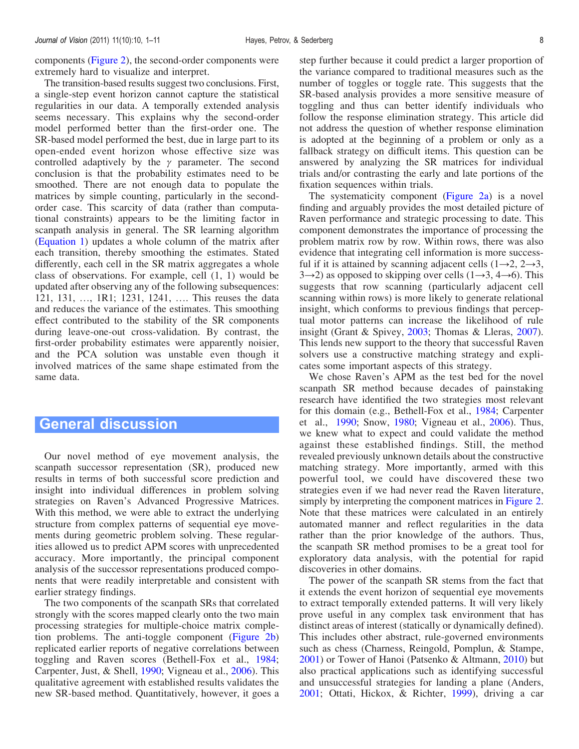components [\(Figure 2](#page-4-0)), the second-order components were extremely hard to visualize and interpret.

The transition-based results suggest two conclusions. First, a single-step event horizon cannot capture the statistical regularities in our data. A temporally extended analysis seems necessary. This explains why the second-order model performed better than the first-order one. The SR-based model performed the best, due in large part to its open-ended event horizon whose effective size was controlled adaptively by the  $\gamma$  parameter. The second conclusion is that the probability estimates need to be smoothed. There are not enough data to populate the matrices by simple counting, particularly in the secondorder case. This scarcity of data (rather than computational constraints) appears to be the limiting factor in scanpath analysis in general. The SR learning algorithm ([Equation 1\)](#page-2-0) updates a whole column of the matrix after each transition, thereby smoothing the estimates. Stated differently, each cell in the SR matrix aggregates a whole class of observations. For example, cell (1, 1) would be updated after observing any of the following subsequences: 121, 131, ..., 1R1; 1231, 1241, .... This reuses the data and reduces the variance of the estimates. This smoothing effect contributed to the stability of the SR components during leave-one-out cross-validation. By contrast, the first-order probability estimates were apparently noisier, and the PCA solution was unstable even though it involved matrices of the same shape estimated from the same data.

## General discussion

Our novel method of eye movement analysis, the scanpath successor representation (SR), produced new results in terms of both successful score prediction and insight into individual differences in problem solving strategies on Raven's Advanced Progressive Matrices. With this method, we were able to extract the underlying structure from complex patterns of sequential eye movements during geometric problem solving. These regularities allowed us to predict APM scores with unprecedented accuracy. More importantly, the principal component analysis of the successor representations produced components that were readily interpretable and consistent with earlier strategy findings.

The two components of the scanpath SRs that correlated strongly with the scores mapped clearly onto the two main processing strategies for multiple-choice matrix completion problems. The anti-toggle component ([Figure 2b\)](#page-4-0) replicated earlier reports of negative correlations between toggling and Raven scores (Bethell-Fox et al., [1984](#page-9-0); Carpenter, Just, & Shell, [1990;](#page-9-0) Vigneau et al., [2006](#page-10-0)). This qualitative agreement with established results validates the new SR-based method. Quantitatively, however, it goes a step further because it could predict a larger proportion of the variance compared to traditional measures such as the number of toggles or toggle rate. This suggests that the SR-based analysis provides a more sensitive measure of toggling and thus can better identify individuals who follow the response elimination strategy. This article did not address the question of whether response elimination is adopted at the beginning of a problem or only as a fallback strategy on difficult items. This question can be answered by analyzing the SR matrices for individual trials and/or contrasting the early and late portions of the fixation sequences within trials.

The systematicity component [\(Figure 2a\)](#page-4-0) is a novel finding and arguably provides the most detailed picture of Raven performance and strategic processing to date. This component demonstrates the importance of processing the problem matrix row by row. Within rows, there was also evidence that integrating cell information is more successful if it is attained by scanning adjacent cells  $(1\rightarrow 2, 2\rightarrow 3, 1)$  $3\rightarrow 2$ ) as opposed to skipping over cells  $(1\rightarrow 3, 4\rightarrow 6)$ . This suggests that row scanning (particularly adjacent cell scanning within rows) is more likely to generate relational insight, which conforms to previous findings that perceptual motor patterns can increase the likelihood of rule insight (Grant & Spivey, [2003;](#page-9-0) Thomas & Lleras, [2007\)](#page-10-0). This lends new support to the theory that successful Raven solvers use a constructive matching strategy and explicates some important aspects of this strategy.

We chose Raven's APM as the test bed for the novel scanpath SR method because decades of painstaking research have identified the two strategies most relevant for this domain (e.g., Bethell-Fox et al., [1984;](#page-9-0) Carpenter et al., [1990](#page-9-0); Snow, [1980](#page-10-0); Vigneau et al., [2006\)](#page-10-0). Thus, we knew what to expect and could validate the method against these established findings. Still, the method revealed previously unknown details about the constructive matching strategy. More importantly, armed with this powerful tool, we could have discovered these two strategies even if we had never read the Raven literature, simply by interpreting the component matrices in [Figure 2](#page-4-0). Note that these matrices were calculated in an entirely automated manner and reflect regularities in the data rather than the prior knowledge of the authors. Thus, the scanpath SR method promises to be a great tool for exploratory data analysis, with the potential for rapid discoveries in other domains.

The power of the scanpath SR stems from the fact that it extends the event horizon of sequential eye movements to extract temporally extended patterns. It will very likely prove useful in any complex task environment that has distinct areas of interest (statically or dynamically defined). This includes other abstract, rule-governed environments such as chess (Charness, Reingold, Pomplun, & Stampe, [2001\)](#page-9-0) or Tower of Hanoi (Patsenko & Altmann, [2010](#page-10-0)) but also practical applications such as identifying successful and unsuccessful strategies for landing a plane (Anders, [2001;](#page-8-0) Ottati, Hickox, & Richter, [1999](#page-10-0)), driving a car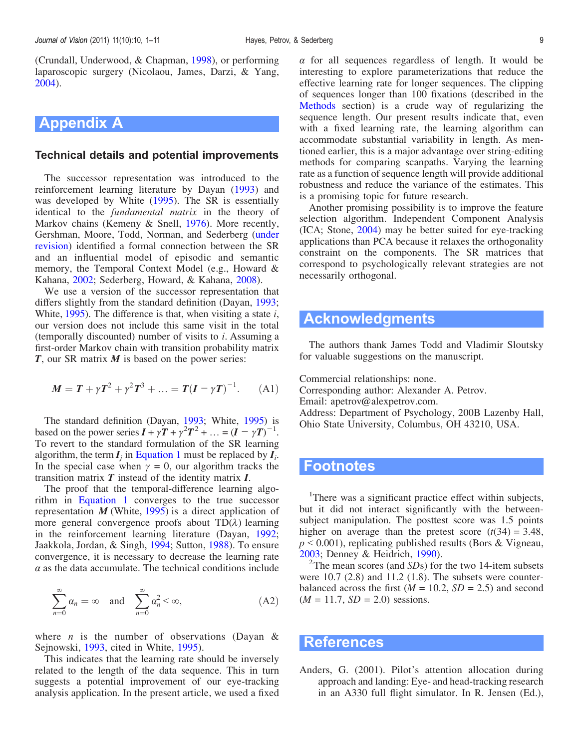<span id="page-8-0"></span>(Crundall, Underwood, & Chapman, [1998](#page-9-0)), or performing laparoscopic surgery (Nicolaou, James, Darzi, & Yang, [2004\)](#page-9-0).

# Appendix A

### Technical details and potential improvements

The successor representation was introduced to the reinforcement learning literature by Dayan ([1993\)](#page-9-0) and was developed by White ([1995\)](#page-10-0). The SR is essentially identical to the fundamental matrix in the theory of Markov chains (Kemeny & Snell, [1976](#page-9-0)). More recently, Gershman, Moore, Todd, Norman, and Sederberg [\(under](#page-9-0) [revision](#page-9-0)) identified a formal connection between the SR and an influential model of episodic and semantic memory, the Temporal Context Model (e.g., Howard & Kahana, [2002;](#page-9-0) Sederberg, Howard, & Kahana, [2008\)](#page-10-0).

We use a version of the successor representation that differs slightly from the standard definition (Dayan, [1993](#page-9-0); White,  $1995$ ). The difference is that, when visiting a state i, our version does not include this same visit in the total (temporally discounted) number of visits to i. Assuming a first-order Markov chain with transition probability matrix  $T$ , our SR matrix  $M$  is based on the power series:

$$
M = T + \gamma T^{2} + \gamma^{2} T^{3} + \dots = T(I - \gamma T)^{-1}.
$$
 (A1)

The standard definition (Dayan, [1993](#page-9-0); White, [1995](#page-10-0)) is based on the power series  $\mathbf{I} + \gamma \mathbf{T} + \gamma^2 \mathbf{T}^2 + \dots = (\mathbf{I} - \gamma \mathbf{T})^{-1}$ . To revert to the standard formulation of the SR learning algorithm, the term  $I_i$  in [Equation 1](#page-2-0) must be replaced by  $I_i$ . In the special case when  $\gamma = 0$ , our algorithm tracks the transition matrix  $T$  instead of the identity matrix  $I$ .

The proof that the temporal-difference learning algorithm in [Equation 1](#page-2-0) converges to the true successor representation  $M$  (White, [1995\)](#page-10-0) is a direct application of more general convergence proofs about  $TD(\lambda)$  learning in the reinforcement learning literature (Dayan, [1992](#page-9-0); Jaakkola, Jordan, & Singh, [1994](#page-9-0); Sutton, [1988](#page-10-0)). To ensure convergence, it is necessary to decrease the learning rate  $\alpha$  as the data accumulate. The technical conditions include

$$
\sum_{n=0}^{\infty} \alpha_n = \infty \quad \text{and} \quad \sum_{n=0}^{\infty} \alpha_n^2 < \infty,
$$
\n(A2)

where *n* is the number of observations (Dayan  $\&$ Sejnowski, [1993,](#page-9-0) cited in White, [1995\)](#page-10-0).

This indicates that the learning rate should be inversely related to the length of the data sequence. This in turn suggests a potential improvement of our eye-tracking analysis application. In the present article, we used a fixed

 $\alpha$  for all sequences regardless of length. It would be interesting to explore parameterizations that reduce the effective learning rate for longer sequences. The clipping of sequences longer than 100 fixations (described in the [Methods](#page-2-0) section) is a crude way of regularizing the sequence length. Our present results indicate that, even with a fixed learning rate, the learning algorithm can accommodate substantial variability in length. As mentioned earlier, this is a major advantage over string-editing methods for comparing scanpaths. Varying the learning rate as a function of sequence length will provide additional robustness and reduce the variance of the estimates. This is a promising topic for future research.

Another promising possibility is to improve the feature selection algorithm. Independent Component Analysis (ICA; Stone, [2004\)](#page-10-0) may be better suited for eye-tracking applications than PCA because it relaxes the orthogonality constraint on the components. The SR matrices that correspond to psychologically relevant strategies are not necessarily orthogonal.

## Acknowledgments

The authors thank James Todd and Vladimir Sloutsky for valuable suggestions on the manuscript.

Commercial relationships: none. Corresponding author: Alexander A. Petrov. Email: apetrov@alexpetrov.com. Address: Department of Psychology, 200B Lazenby Hall, Ohio State University, Columbus, OH 43210, USA.

## **Footnotes**

<sup>1</sup>There was a significant practice effect within subjects, but it did not interact significantly with the betweensubject manipulation. The posttest score was 1.5 points higher on average than the pretest score  $(t(34) = 3.48$ ,  $p \le 0.001$ ), replicating published results (Bors & Vigneau, [2003;](#page-9-0) Denney & Heidrich, [1990\)](#page-9-0).

<sup>2</sup>The mean scores (and  $SDs$ ) for the two 14-item subsets were  $10.7$   $(2.8)$  and  $11.2$   $(1.8)$ . The subsets were counterbalanced across the first ( $M = 10.2$ ,  $SD = 2.5$ ) and second  $(M = 11.7, SD = 2.0)$  sessions.

### References

Anders, G. (2001). Pilot's attention allocation during approach and landing: Eye- and head-tracking research in an A330 full flight simulator. In R. Jensen (Ed.),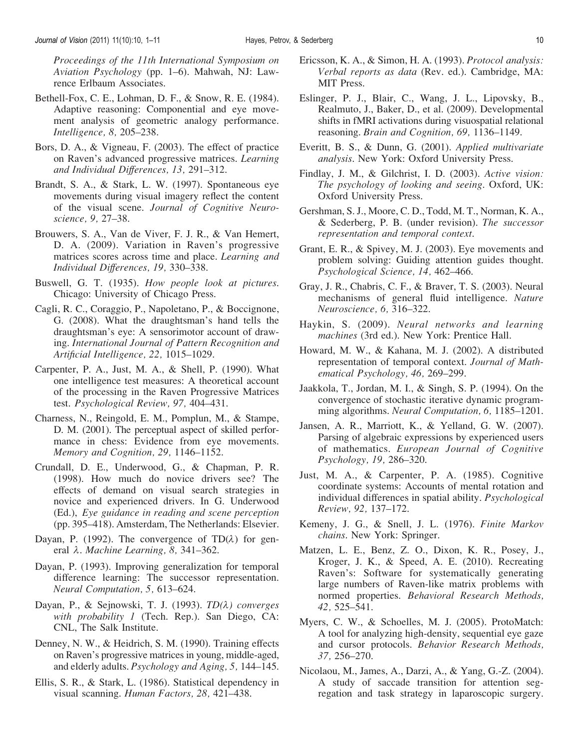<span id="page-9-0"></span>Proceedings of the 11th International Symposium on Aviation Psychology (pp. 1–6). Mahwah, NJ: Lawrence Erlbaum Associates.

- Bethell-Fox, C. E., Lohman, D. F., & Snow, R. E. (1984). Adaptive reasoning: Componential and eye movement analysis of geometric analogy performance. Intelligence, 8, 205–238.
- Bors, D. A., & Vigneau, F. (2003). The effect of practice on Raven's advanced progressive matrices. Learning and Individual Differences, 13, 291–312.
- Brandt, S. A., & Stark, L. W. (1997). Spontaneous eye movements during visual imagery reflect the content of the visual scene. Journal of Cognitive Neuroscience, 9, 27–38.
- Brouwers, S. A., Van de Viver, F. J. R., & Van Hemert, D. A. (2009). Variation in Raven's progressive matrices scores across time and place. Learning and Individual Differences, 19, 330–338.
- Buswell, G. T. (1935). How people look at pictures. Chicago: University of Chicago Press.
- Cagli, R. C., Coraggio, P., Napoletano, P., & Boccignone, G. (2008). What the draughtsman's hand tells the draughtsman's eye: A sensorimotor account of drawing. International Journal of Pattern Recognition and Artificial Intelligence, 22, 1015–1029.
- Carpenter, P. A., Just, M. A., & Shell, P. (1990). What one intelligence test measures: A theoretical account of the processing in the Raven Progressive Matrices test. Psychological Review, 97, 404–431.
- Charness, N., Reingold, E. M., Pomplun, M., & Stampe, D. M. (2001). The perceptual aspect of skilled performance in chess: Evidence from eye movements. Memory and Cognition, 29, 1146–1152.
- Crundall, D. E., Underwood, G., & Chapman, P. R. (1998). How much do novice drivers see? The effects of demand on visual search strategies in novice and experienced drivers. In G. Underwood (Ed.), Eye guidance in reading and scene perception (pp. 395–418). Amsterdam, The Netherlands: Elsevier.
- Dayan, P. (1992). The convergence of  $TD(\lambda)$  for general  $\lambda$ . Machine Learning, 8, 341–362.
- Dayan, P. (1993). Improving generalization for temporal difference learning: The successor representation. Neural Computation, 5, 613–624.
- Dayan, P., & Sejnowski, T. J. (1993).  $TD(\lambda)$  converges with probability 1 (Tech. Rep.). San Diego, CA: CNL, The Salk Institute.
- Denney, N. W., & Heidrich, S. M. (1990). Training effects on Raven's progressive matrices in young, middle-aged, and elderly adults. Psychology and Aging, 5, 144–145.
- Ellis, S. R., & Stark, L. (1986). Statistical dependency in visual scanning. Human Factors, 28, 421–438.
- Ericsson, K. A., & Simon, H. A. (1993). Protocol analysis: Verbal reports as data (Rev. ed.). Cambridge, MA: MIT Press.
- Eslinger, P. J., Blair, C., Wang, J. L., Lipovsky, B., Realmuto, J., Baker, D., et al. (2009). Developmental shifts in fMRI activations during visuospatial relational reasoning. Brain and Cognition, 69, 1136–1149.
- Everitt, B. S., & Dunn, G. (2001). Applied multivariate analysis. New York: Oxford University Press.
- Findlay, J. M., & Gilchrist, I. D. (2003). Active vision: The psychology of looking and seeing. Oxford, UK: Oxford University Press.
- Gershman, S. J., Moore, C. D., Todd, M. T., Norman, K. A., & Sederberg, P. B. (under revision). The successor representation and temporal context.
- Grant, E. R., & Spivey, M. J. (2003). Eye movements and problem solving: Guiding attention guides thought. Psychological Science, 14, 462–466.
- Gray, J. R., Chabris, C. F., & Braver, T. S. (2003). Neural mechanisms of general fluid intelligence. Nature Neuroscience, 6, 316–322.
- Haykin, S. (2009). Neural networks and learning machines (3rd ed.). New York: Prentice Hall.
- Howard, M. W., & Kahana, M. J. (2002). A distributed representation of temporal context. Journal of Mathematical Psychology, 46, 269–299.
- Jaakkola, T., Jordan, M. I., & Singh, S. P. (1994). On the convergence of stochastic iterative dynamic programming algorithms. Neural Computation, 6, 1185-1201.
- Jansen, A. R., Marriott, K., & Yelland, G. W. (2007). Parsing of algebraic expressions by experienced users of mathematics. European Journal of Cognitive Psychology, 19, 286–320.
- Just, M. A., & Carpenter, P. A. (1985). Cognitive coordinate systems: Accounts of mental rotation and individual differences in spatial ability. Psychological Review, 92, 137–172.
- Kemeny, J. G., & Snell, J. L. (1976). Finite Markov chains. New York: Springer.
- Matzen, L. E., Benz, Z. O., Dixon, K. R., Posey, J., Kroger, J. K., & Speed, A. E. (2010). Recreating Raven's: Software for systematically generating large numbers of Raven-like matrix problems with normed properties. Behavioral Research Methods, 42, 525–541.
- Myers, C. W., & Schoelles, M. J. (2005). ProtoMatch: A tool for analyzing high-density, sequential eye gaze and cursor protocols. Behavior Research Methods, 37, 256–270.
- Nicolaou, M., James, A., Darzi, A., & Yang, G.-Z. (2004). A study of saccade transition for attention segregation and task strategy in laparoscopic surgery.